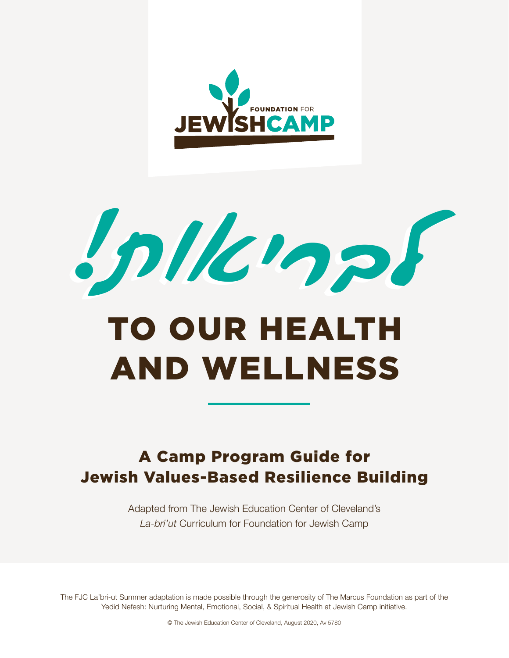

לבריאות! לבריאות!

# TO OUR HEALTH AND WELLNESS

# A Camp Program Guide for Jewish Values-Based Resilience Building

Adapted from The Jewish Education Center of Cleveland's *La-bri'ut* Curriculum for Foundation for Jewish Camp

The FJC La'bri-ut Summer adaptation is made possible through the generosity of The Marcus Foundation as part of the Yedid Nefesh: Nurturing Mental, Emotional, Social, & Spiritual Health at Jewish Camp initiative.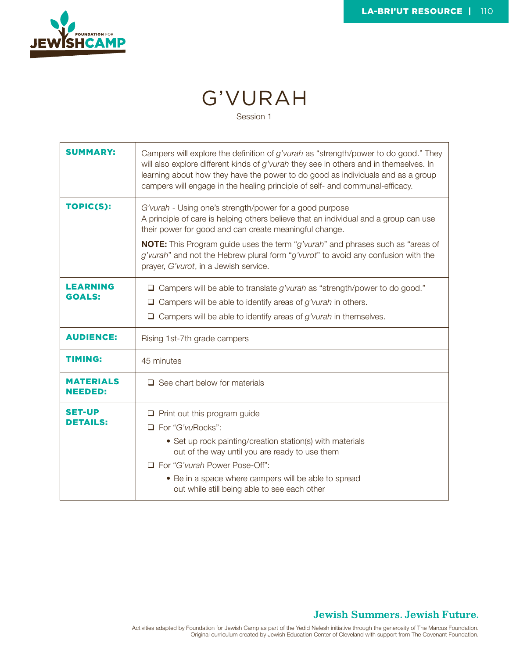

# G'VURAH

Session 1

| <b>SUMMARY:</b>                    | Campers will explore the definition of g'vurah as "strength/power to do good." They<br>will also explore different kinds of $g'v$ urah they see in others and in themselves. In<br>learning about how they have the power to do good as individuals and as a group<br>campers will engage in the healing principle of self- and communal-efficacy.                                                                               |
|------------------------------------|----------------------------------------------------------------------------------------------------------------------------------------------------------------------------------------------------------------------------------------------------------------------------------------------------------------------------------------------------------------------------------------------------------------------------------|
| TOPIC(S):                          | G'vurah - Using one's strength/power for a good purpose<br>A principle of care is helping others believe that an individual and a group can use<br>their power for good and can create meaningful change.<br><b>NOTE:</b> This Program guide uses the term "g'vurah" and phrases such as "areas of<br>g'vurah" and not the Hebrew plural form "g'vurot" to avoid any confusion with the<br>prayer, G'vurot, in a Jewish service. |
| <b>LEARNING</b><br><b>GOALS:</b>   | $\Box$ Campers will be able to translate g'vurah as "strength/power to do good."<br>$\Box$ Campers will be able to identify areas of g'vurah in others.<br>$\Box$ Campers will be able to identify areas of g'vurah in themselves.                                                                                                                                                                                               |
| <b>AUDIENCE:</b>                   | Rising 1st-7th grade campers                                                                                                                                                                                                                                                                                                                                                                                                     |
| <b>TIMING:</b>                     | 45 minutes                                                                                                                                                                                                                                                                                                                                                                                                                       |
| <b>MATERIALS</b><br><b>NEEDED:</b> | $\Box$ See chart below for materials                                                                                                                                                                                                                                                                                                                                                                                             |
| <b>SET-UP</b><br>DETAILS:          | $\Box$ Print out this program guide<br>□ For "G'vuRocks":<br>• Set up rock painting/creation station(s) with materials<br>out of the way until you are ready to use them<br>For "G'vurah Power Pose-Off":<br>• Be in a space where campers will be able to spread<br>out while still being able to see each other                                                                                                                |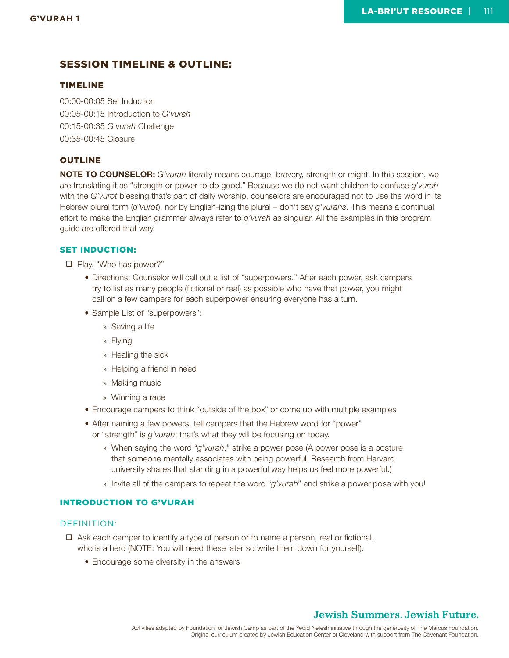#### SESSION TIMELINE & OUTLINE:

#### TIMELINE

00:00-00:05 Set Induction 00:05-00:15 Introduction to *G'vurah* 00:15-00:35 *G'vurah* Challenge 00:35-00:45 Closure

#### OUTLINE

**NOTE TO COUNSELOR:** *G'vurah* literally means courage, bravery, strength or might. In this session, we are translating it as "strength or power to do good." Because we do not want children to confuse *g'vurah* with the *G'vurot* blessing that's part of daily worship, counselors are encouraged not to use the word in its Hebrew plural form (*g'vurot*), nor by English-izing the plural – don't say *g'vurahs*. This means a continual effort to make the English grammar always refer to *g'vurah* as singular. All the examples in this program guide are offered that way.

#### SET INDUCTION:

□ Play, "Who has power?"

- Directions: Counselor will call out a list of "superpowers." After each power, ask campers try to list as many people (fictional or real) as possible who have that power, you might call on a few campers for each superpower ensuring everyone has a turn.
- Sample List of "superpowers":
	- » Saving a life
	- » Flying
	- » Healing the sick
	- » Helping a friend in need
	- » Making music
	- » Winning a race
- Encourage campers to think "outside of the box" or come up with multiple examples
- After naming a few powers, tell campers that the Hebrew word for "power" or "strength" is *g'vurah*; that's what they will be focusing on today.
	- » When saying the word "*g'vurah*," strike a power pose (A power pose is a posture that someone mentally associates with being powerful. Research from Harvard university shares that standing in a powerful way helps us feel more powerful.)
	- » Invite all of the campers to repeat the word "*g'vurah*" and strike a power pose with you!

#### INTRODUCTION TO G'VURAH

#### DEFINITION:

- $\Box$  Ask each camper to identify a type of person or to name a person, real or fictional, who is a hero (NOTE: You will need these later so write them down for yourself).
	- Encourage some diversity in the answers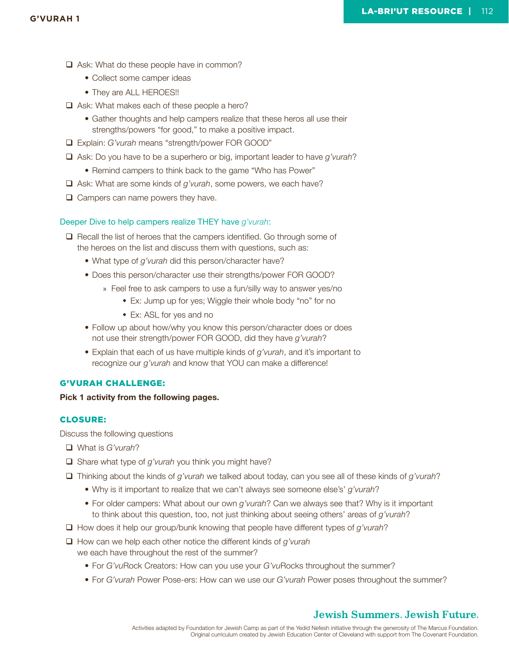- $\Box$  Ask: What do these people have in common?
	- Collect some camper ideas
	- They are ALL HEROES!!
- $\Box$  Ask: What makes each of these people a hero?
	- Gather thoughts and help campers realize that these heros all use their strengths/powers "for good," to make a positive impact.
- Explain: *G'vurah* means "strength/power FOR GOOD"
- Ask: Do you have to be a superhero or big, important leader to have *g'vurah*?
	- Remind campers to think back to the game "Who has Power"
- Ask: What are some kinds of *g'vurah*, some powers, we each have?
- $\Box$  Campers can name powers they have.

#### Deeper Dive to help campers realize THEY have *g'vurah*:

 $\Box$  Recall the list of heroes that the campers identified. Go through some of the heroes on the list and discuss them with questions, such as:

- What type of *g'vurah* did this person/character have?
- Does this person/character use their strengths/power FOR GOOD?
	- » Feel free to ask campers to use a fun/silly way to answer yes/no
		- Ex: Jump up for yes; Wiggle their whole body "no" for no
		- Ex: ASL for yes and no
- Follow up about how/why you know this person/character does or does not use their strength/power FOR GOOD, did they have *g'vurah*?
- Explain that each of us have multiple kinds of *g'vurah*, and it's important to recognize our *g'vurah* and know that YOU can make a difference!

#### G'VURAH CHALLENGE:

**Pick 1 activity from the following pages.**

#### CLOSURE:

Discuss the following questions

- What is *G'vurah*?
- Share what type of *g'vurah* you think you might have?
- Thinking about the kinds of *g'vurah* we talked about today, can you see all of these kinds of *g'vurah*?
	- Why is it important to realize that we can't always see someone else's' *g'vurah*?
	- For older campers: What about our own *g'vurah*? Can we always see that? Why is it important to think about this question, too, not just thinking about seeing others' areas of *g'vurah*?
- How does it help our group/bunk knowing that people have different types of *g'vurah*?
- How can we help each other notice the different kinds of *g'vurah* 
	- we each have throughout the rest of the summer?
		- For *G'vu*Rock Creators: How can you use your *G'vu*Rocks throughout the summer?
		- For *G'vurah* Power Pose-ers: How can we use our *G'vurah* Power poses throughout the summer?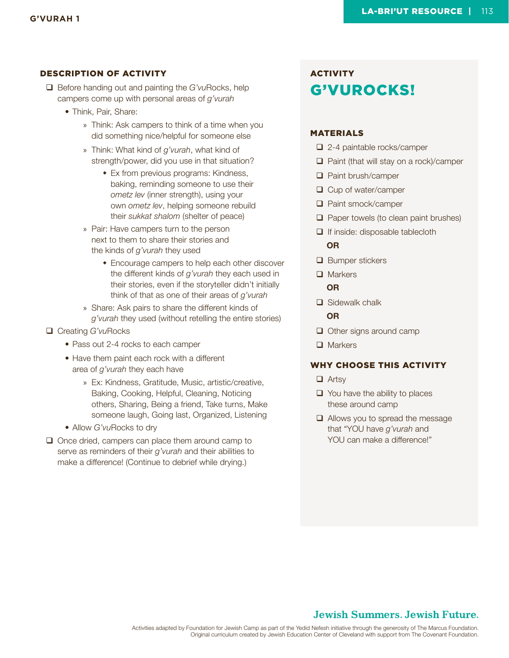- Before handing out and painting the *G'vu*Rocks, help campers come up with personal areas of *g'vurah*
	- Think, Pair, Share:
		- » Think: Ask campers to think of a time when you did something nice/helpful for someone else
		- » Think: What kind of *g'vurah*, what kind of strength/power, did you use in that situation?
			- Ex from previous programs: Kindness, baking, reminding someone to use their *ometz lev* (inner strength), using your own *ometz lev*, helping someone rebuild their *sukkat shalom* (shelter of peace)
		- » Pair: Have campers turn to the person next to them to share their stories and the kinds of *g'vurah* they used
			- Encourage campers to help each other discover the different kinds of *g'vurah* they each used in their stories, even if the storyteller didn't initially think of that as one of their areas of *g'vurah*
		- » Share: Ask pairs to share the different kinds of *g'vurah* they used (without retelling the entire stories)
- Creating *G'vu*Rocks
	- Pass out 2-4 rocks to each camper
	- Have them paint each rock with a different area of *g'vurah* they each have
		- » Ex: Kindness, Gratitude, Music, artistic/creative, Baking, Cooking, Helpful, Cleaning, Noticing others, Sharing, Being a friend, Take turns, Make someone laugh, Going last, Organized, Listening
	- Allow *G'vu*Rocks to dry
- $\Box$  Once dried, campers can place them around camp to serve as reminders of their *g'vurah* and their abilities to make a difference! (Continue to debrief while drying.)

### **ACTIVITY** G'VUROCKS!

#### MATERIALS

- □ 2-4 paintable rocks/camper
- $\Box$  Paint (that will stay on a rock)/camper
- □ Paint brush/camper
- $\Box$  Cup of water/camper
- □ Paint smock/camper
- $\Box$  Paper towels (to clean paint brushes)
- $\Box$  If inside: disposable tablecloth

#### **OR**

- **□** Bumper stickers
- **□** Markers

#### **OR**

□ Sidewalk chalk

#### **OR**

- $\Box$  Other signs around camp
- □ Markers

#### WHY CHOOSE THIS ACTIVITY

- $\Box$  Artsv
- $\Box$  You have the ability to places these around camp
- $\Box$  Allows you to spread the message that "YOU have *g'vurah* and YOU can make a difference!"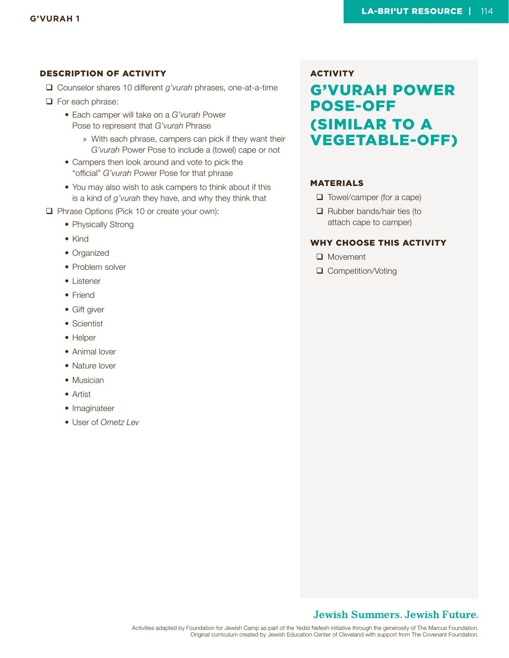- Counselor shares 10 different *g'vurah* phrases, one-at-a-time
- $\Box$  For each phrase:
	- Each camper will take on a *G'vurah* Power Pose to represent that *G'vurah* Phrase
		- » With each phrase, campers can pick if they want their *G'vurah* Power Pose to include a (towel) cape or not
	- Campers then look around and vote to pick the "official" *G'vurah* Power Pose for that phrase
	- You may also wish to ask campers to think about if this is a kind of *g'vurah* they have, and why they think that
- Phrase Options (Pick 10 or create your own):
	- Physically Strong
	- Kind
	- Organized
	- Problem solver
	- Listener
	- Friend
	- Gift giver
	- Scientist
	- Helper
	- Animal lover
	- Nature lover
	- Musician
	- Artist
	- Imaginateer
	- User of *Ometz Lev*

**ACTIVITY** G'VURAH POWER POSE-OFF (SIMILAR TO A VEGETABLE-OFF)

#### MATERIALS

- $\Box$  Towel/camper (for a cape)
- $\Box$  Rubber bands/hair ties (to attach cape to camper)

#### WHY CHOOSE THIS ACTIVITY

- **Q** Movement
- □ Competition/Voting

#### **Jewish Summers. Jewish Future.**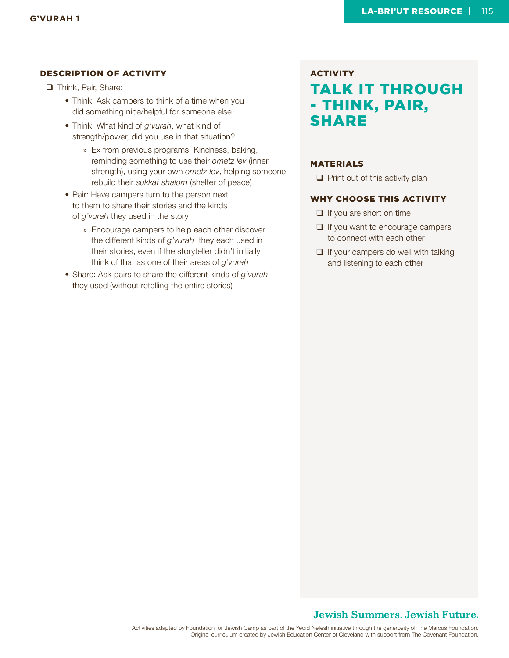**Think, Pair, Share:** 

- Think: Ask campers to think of a time when you did something nice/helpful for someone else
- Think: What kind of *g'vurah*, what kind of strength/power, did you use in that situation?
	- » Ex from previous programs: Kindness, baking, reminding something to use their *ometz lev* (inner strength), using your own *ometz lev*, helping someone rebuild their *sukkat shalom* (shelter of peace)
- Pair: Have campers turn to the person next to them to share their stories and the kinds of *g'vurah* they used in the story
	- » Encourage campers to help each other discover the different kinds of *g'vurah* they each used in their stories, even if the storyteller didn't initially think of that as one of their areas of *g'vurah*
- Share: Ask pairs to share the different kinds of *g'vurah* they used (without retelling the entire stories)

# **ACTIVITY** TALK IT THROUGH - THINK, PAIR, SHARE

#### MATERIALS

 $\Box$  Print out of this activity plan

#### WHY CHOOSE THIS ACTIVITY

- $\Box$  If you are short on time
- $\Box$  If you want to encourage campers to connect with each other
- $\Box$  If your campers do well with talking and listening to each other

#### **Jewish Summers. Jewish Future.**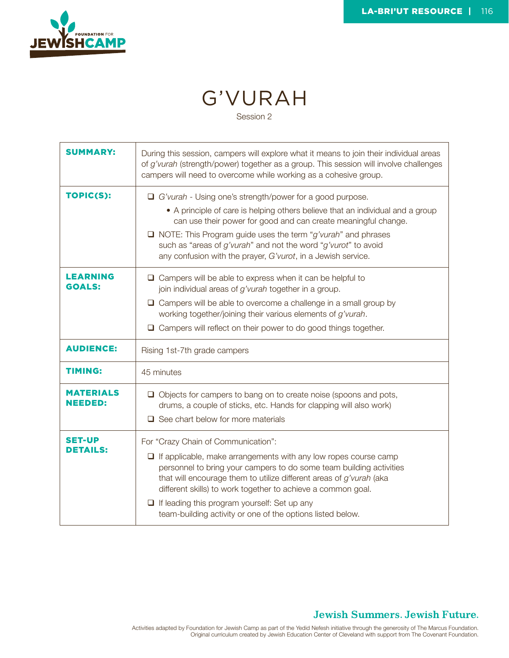

# G'VURAH

Session 2

| <b>SUMMARY:</b>                    | During this session, campers will explore what it means to join their individual areas<br>of g'vurah (strength/power) together as a group. This session will involve challenges<br>campers will need to overcome while working as a cohesive group.                                                                                                                                                                                              |
|------------------------------------|--------------------------------------------------------------------------------------------------------------------------------------------------------------------------------------------------------------------------------------------------------------------------------------------------------------------------------------------------------------------------------------------------------------------------------------------------|
| TOPIC(S):                          | $\Box$ G'vurah - Using one's strength/power for a good purpose.<br>• A principle of care is helping others believe that an individual and a group<br>can use their power for good and can create meaningful change.<br>$\Box$ NOTE: This Program guide uses the term "g'vurah" and phrases<br>such as "areas of g'vurah" and not the word "g'vurot" to avoid<br>any confusion with the prayer, G'vurot, in a Jewish service.                     |
| <b>LEARNING</b><br><b>GOALS:</b>   | $\Box$ Campers will be able to express when it can be helpful to<br>join individual areas of g'vurah together in a group.<br>$\Box$ Campers will be able to overcome a challenge in a small group by<br>working together/joining their various elements of g'vurah.<br>$\Box$ Campers will reflect on their power to do good things together.                                                                                                    |
| <b>AUDIENCE:</b>                   | Rising 1st-7th grade campers                                                                                                                                                                                                                                                                                                                                                                                                                     |
| <b>TIMING:</b>                     | 45 minutes                                                                                                                                                                                                                                                                                                                                                                                                                                       |
| <b>MATERIALS</b><br><b>NEEDED:</b> | $\Box$ Objects for campers to bang on to create noise (spoons and pots,<br>drums, a couple of sticks, etc. Hands for clapping will also work)<br>$\Box$ See chart below for more materials                                                                                                                                                                                                                                                       |
| <b>SET-UP</b><br><b>DETAILS:</b>   | For "Crazy Chain of Communication":<br>$\Box$ If applicable, make arrangements with any low ropes course camp<br>personnel to bring your campers to do some team building activities<br>that will encourage them to utilize different areas of g'vurah (aka<br>different skills) to work together to achieve a common goal.<br>$\Box$ If leading this program yourself: Set up any<br>team-building activity or one of the options listed below. |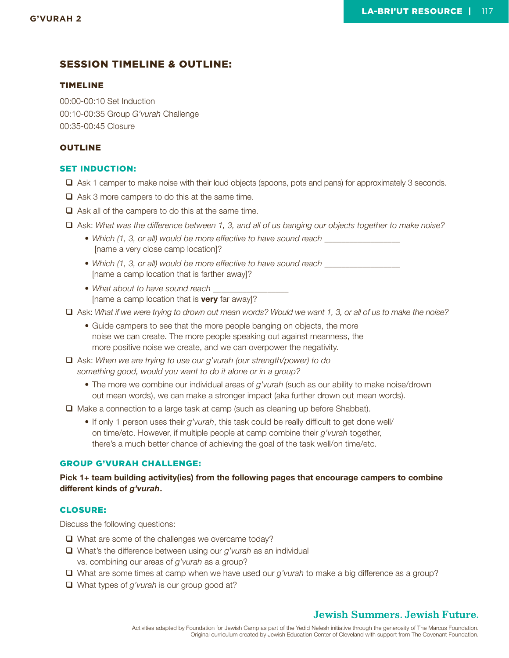#### SESSION TIMELINE & OUTLINE:

#### TIMELINE

00:00-00:10 Set Induction 00:10-00:35 Group *G'vurah* Challenge 00:35-00:45 Closure

#### OUTLINE

#### SET INDUCTION:

- Ask 1 camper to make noise with their loud objects (spoons, pots and pans) for approximately 3 seconds.
- $\Box$  Ask 3 more campers to do this at the same time.
- $\Box$  Ask all of the campers to do this at the same time.
- Ask: *What was the difference between 1, 3, and all of us banging our objects together to make noise?*
	- Which (1, 3, or all) would be more effective to have sound reach [name a very close camp location]?
	- Which (1, 3, or all) would be more effective to have sound reach [name a camp location that is farther away]?
	- *What about to have sound reach \_\_\_\_\_\_\_\_\_\_\_\_\_\_\_\_\_\_*  [name a camp location that is **very** far away]?
- Ask: *What if we were trying to drown out mean words? Would we want 1, 3, or all of us to make the noise?*
	- Guide campers to see that the more people banging on objects, the more noise we can create. The more people speaking out against meanness, the more positive noise we create, and we can overpower the negativity.
- Ask: *When we are trying to use our g'vurah (our strength/power) to do something good, would you want to do it alone or in a group?* 
	- The more we combine our individual areas of *g'vurah* (such as our ability to make noise/drown out mean words), we can make a stronger impact (aka further drown out mean words).
- $\Box$  Make a connection to a large task at camp (such as cleaning up before Shabbat).
	- If only 1 person uses their *g'vurah*, this task could be really difficult to get done well/ on time/etc. However, if multiple people at camp combine their *g'vurah* together, there's a much better chance of achieving the goal of the task well/on time/etc.

#### GROUP G'VURAH CHALLENGE:

#### **Pick 1+ team building activity(ies) from the following pages that encourage campers to combine different kinds of** *g'vurah***.**

#### CLOSURE:

Discuss the following questions:

- $\Box$  What are some of the challenges we overcame today?
- What's the difference between using our *g'vurah* as an individual vs. combining our areas of *g'vurah* as a group?
- What are some times at camp when we have used our *g'vurah* to make a big difference as a group?
- What types of *g'vurah* is our group good at?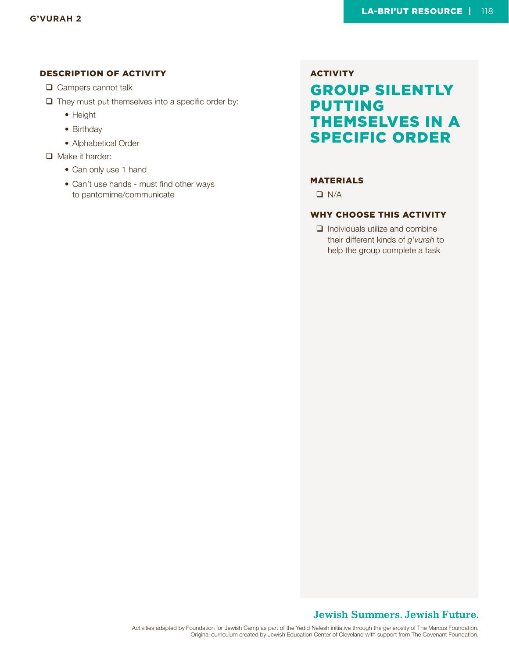- □ Campers cannot talk
- $\Box$  They must put themselves into a specific order by:
	- Height
	- Birthday
	- Alphabetical Order
- Make it harder:
	- Can only use 1 hand
	- Can't use hands must find other ways to pantomime/communicate

# **ACTIVITY** GROUP SILENTLY PUTTING THEMSELVES IN A SPECIFIC ORDER

#### MATERIALS

 $\Box$  N/A

#### WHY CHOOSE THIS ACTIVITY

 $\Box$  Individuals utilize and combine their different kinds of *g'vurah* to help the group complete a task

#### **Jewish Summers. Jewish Future.**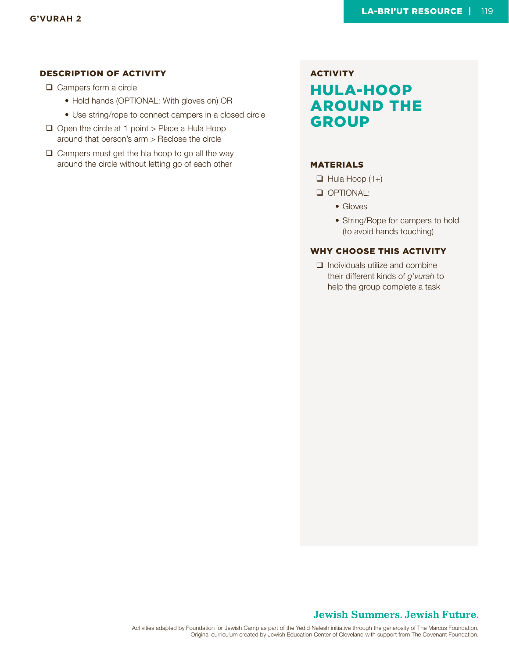- **□** Campers form a circle
	- Hold hands (OPTIONAL: With gloves on) OR
	- Use string/rope to connect campers in a closed circle
- $\Box$  Open the circle at 1 point > Place a Hula Hoop around that person's arm > Reclose the circle
- $\Box$  Campers must get the hla hoop to go all the way around the circle without letting go of each other

# **ACTIVITY** HULA-HOOP AROUND THE GROUP

#### MATERIALS

- $\Box$  Hula Hoop (1+)
- OPTIONAL:
	- Gloves
	- String/Rope for campers to hold (to avoid hands touching)

#### WHY CHOOSE THIS ACTIVITY

 $\Box$  Individuals utilize and combine their different kinds of *g'vurah* to help the group complete a task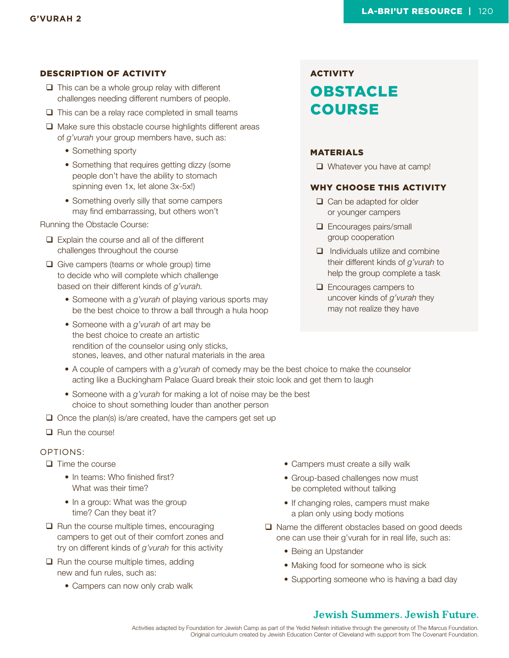- $\Box$  This can be a whole group relay with different challenges needing different numbers of people.
- $\Box$  This can be a relay race completed in small teams
- $\Box$  Make sure this obstacle course highlights different areas of *g'vurah* your group members have, such as:
	- Something sporty
	- Something that requires getting dizzy (some people don't have the ability to stomach spinning even 1x, let alone 3x-5x!)
	- Something overly silly that some campers may find embarrassing, but others won't

Running the Obstacle Course:

- Explain the course and all of the different challenges throughout the course
- $\Box$  Give campers (teams or whole group) time to decide who will complete which challenge based on their different kinds of *g'vurah.*
	- Someone with a *g'vurah* of playing various sports may be the best choice to throw a ball through a hula hoop
	- Someone with a *g'vurah* of art may be the best choice to create an artistic rendition of the counselor using only sticks, stones, leaves, and other natural materials in the area

# **ACTIVITY** OBSTACLE COURSE

#### MATERIALS

Whatever you have at camp!

#### WHY CHOOSE THIS ACTIVITY

- $\Box$  Can be adapted for older or younger campers
- **Encourages pairs/small** group cooperation
- $\Box$  Individuals utilize and combine their different kinds of *g'vurah* to help the group complete a task
- **Q** Encourages campers to uncover kinds of *g'vurah* they may not realize they have
- A couple of campers with a *g'vurah* of comedy may be the best choice to make the counselor acting like a Buckingham Palace Guard break their stoic look and get them to laugh
- Someone with a *g'vurah* for making a lot of noise may be the best choice to shout something louder than another person
- $\Box$  Once the plan(s) is/are created, have the campers get set up
- **Run the course!**

#### OPTIONS:

- $\Box$  Time the course
	- In teams: Who finished first? What was their time?
	- In a group: What was the group time? Can they beat it?
- $\Box$  Run the course multiple times, encouraging campers to get out of their comfort zones and try on different kinds of *g'vurah* for this activity
- $\Box$  Run the course multiple times, adding new and fun rules, such as:
	- Campers can now only crab walk
- Campers must create a silly walk
- Group-based challenges now must be completed without talking
- If changing roles, campers must make a plan only using body motions
- $\Box$  Name the different obstacles based on good deeds one can use their g'vurah for in real life, such as:
	- Being an Upstander
	- Making food for someone who is sick
	- Supporting someone who is having a bad day

### **Jewish Summers, Jewish Future.**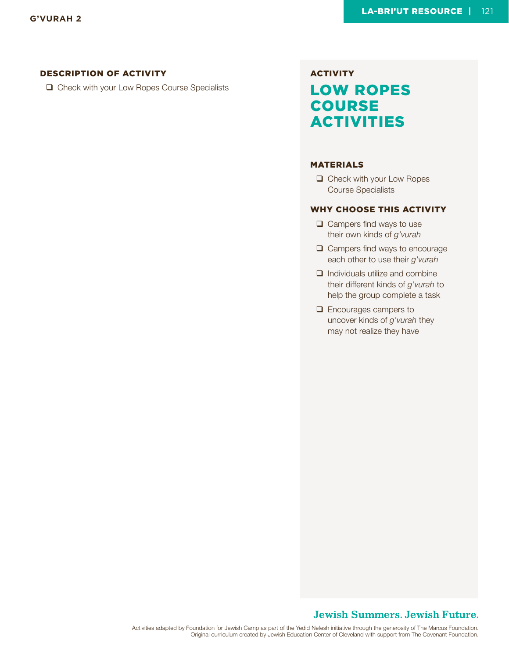□ Check with your Low Ropes Course Specialists

# **ACTIVITY** LOW ROPES **COURSE** ACTIVITIES

#### MATERIALS

□ Check with your Low Ropes Course Specialists

#### WHY CHOOSE THIS ACTIVITY

- $\Box$  Campers find ways to use their own kinds of *g'vurah*
- $\Box$  Campers find ways to encourage each other to use their *g'vurah*
- $\Box$  Individuals utilize and combine their different kinds of *g'vurah* to help the group complete a task
- **Q** Encourages campers to uncover kinds of *g'vurah* they may not realize they have

#### **Jewish Summers. Jewish Future.**